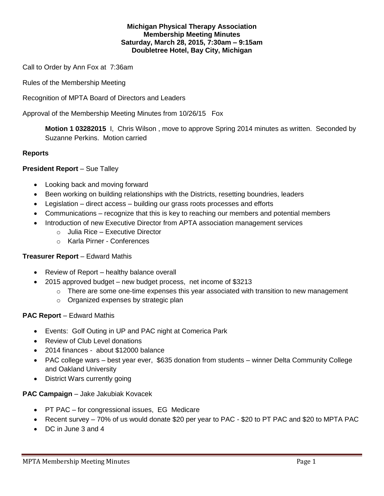## **Michigan Physical Therapy Association Membership Meeting Minutes Saturday, March 28, 2015, 7:30am – 9:15am Doubletree Hotel, Bay City, Michigan**

Call to Order by Ann Fox at 7:36am

Rules of the Membership Meeting

Recognition of MPTA Board of Directors and Leaders

Approval of the Membership Meeting Minutes from 10/26/15 Fox

**Motion 1 03282015** I, Chris Wilson , move to approve Spring 2014 minutes as written. Seconded by Suzanne Perkins. Motion carried

## **Reports**

## **President Report – Sue Talley**

- Looking back and moving forward
- Been working on building relationships with the Districts, resetting boundries, leaders
- Legislation direct access building our grass roots processes and efforts
- Communications recognize that this is key to reaching our members and potential members
- Introduction of new Executive Director from APTA association management services
	- o Julia Rice Executive Director
	- o Karla Pirner Conferences

### **Treasurer Report** – Edward Mathis

- Review of Report healthy balance overall
- 2015 approved budget new budget process, net income of \$3213
	- $\circ$  There are some one-time expenses this year associated with transition to new management
	- o Organized expenses by strategic plan

### **PAC Report** – Edward Mathis

- Events: Golf Outing in UP and PAC night at Comerica Park
- Review of Club Level donations
- 2014 finances about \$12000 balance
- PAC college wars best year ever, \$635 donation from students winner Delta Community College and Oakland University
- District Wars currently going

### **PAC Campaign** – Jake Jakubiak Kovacek

- PT PAC for congressional issues, EG Medicare
- Recent survey 70% of us would donate \$20 per year to PAC \$20 to PT PAC and \$20 to MPTA PAC
- DC in June 3 and 4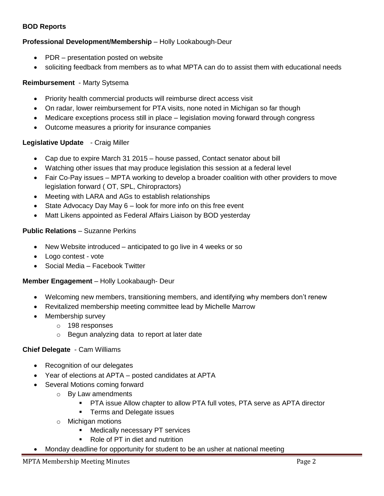## **BOD Reports**

# **Professional Development/Membership** – Holly Lookabough-Deur

- PDR presentation posted on website
- soliciting feedback from members as to what MPTA can do to assist them with educational needs

### **Reimbursement** - Marty Sytsema

- Priority health commercial products will reimburse direct access visit
- On radar, lower reimbursement for PTA visits, none noted in Michigan so far though
- Medicare exceptions process still in place legislation moving forward through congress
- Outcome measures a priority for insurance companies

### **Legislative Update** - Craig Miller

- Cap due to expire March 31 2015 house passed, Contact senator about bill
- Watching other issues that may produce legislation this session at a federal level
- Fair Co-Pay issues MPTA working to develop a broader coalition with other providers to move legislation forward ( OT, SPL, Chiropractors)
- Meeting with LARA and AGs to establish relationships
- $\bullet$  State Advocacy Day May 6 look for more info on this free event
- Matt Likens appointed as Federal Affairs Liaison by BOD yesterday

### **Public Relations** – Suzanne Perkins

- New Website introduced anticipated to go live in 4 weeks or so
- Logo contest vote
- Social Media Facebook Twitter

#### **Member Engagement** – Holly Lookabaugh- Deur

- Welcoming new members, transitioning members, and identifying why members don't renew
- Revitalized membership meeting committee lead by Michelle Marrow
- Membership survey
	- o 198 responses
	- o Begun analyzing data to report at later date

#### **Chief Delegate** - Cam Williams

- Recognition of our delegates
- Year of elections at APTA posted candidates at APTA
- Several Motions coming forward
	- o By Law amendments
		- **PTA issue Allow chapter to allow PTA full votes, PTA serve as APTA director**
		- **Terms and Delegate issues**
	- o Michigan motions
		- **Medically necessary PT services**
		- Role of PT in diet and nutrition
	- Monday deadline for opportunity for student to be an usher at national meeting